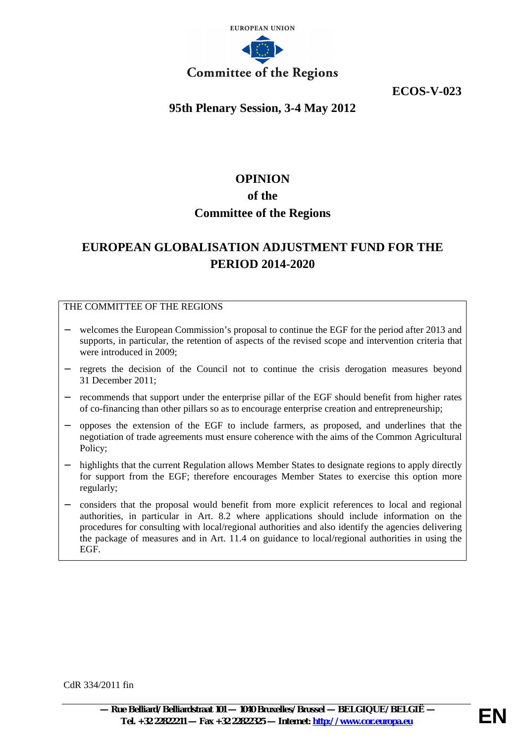

**ECOS-V-023**

# **95th Plenary Session, 3-4 May 2012**

# **OPINION of the Committee of the Regions**

# **EUROPEAN GLOBALISATION ADJUSTMENT FUND FOR THE PERIOD 2014-2020**

# THE COMMITTEE OF THE REGIONS

- welcomes the European Commission's proposal to continue the EGF for the period after 2013 and supports, in particular, the retention of aspects of the revised scope and intervention criteria that were introduced in 2009;
- − regrets the decision of the Council not to continue the crisis derogation measures beyond 31 December 2011;
- recommends that support under the enterprise pillar of the EGF should benefit from higher rates of co-financing than other pillars so as to encourage enterprise creation and entrepreneurship;
- − opposes the extension of the EGF to include farmers, as proposed, and underlines that the negotiation of trade agreements must ensure coherence with the aims of the Common Agricultural Policy;
- highlights that the current Regulation allows Member States to designate regions to apply directly for support from the EGF; therefore encourages Member States to exercise this option more regularly;
- − considers that the proposal would benefit from more explicit references to local and regional authorities, in particular in Art. 8.2 where applications should include information on the procedures for consulting with local/regional authorities and also identify the agencies delivering the package of measures and in Art. 11.4 on guidance to local/regional authorities in using the EGF.

CdR 334/2011 fin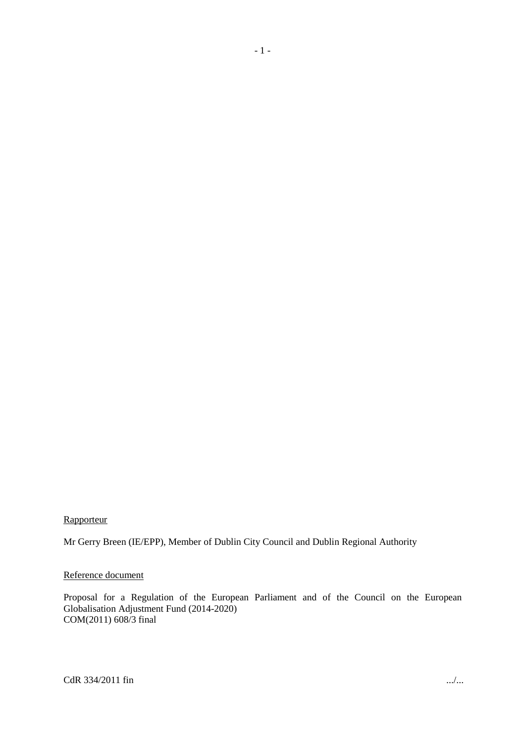# **Rapporteur**

Mr Gerry Breen (IE/EPP), Member of Dublin City Council and Dublin Regional Authority

## Reference document

Proposal for a Regulation of the European Parliament and of the Council on the European Globalisation Adjustment Fund (2014-2020) COM(2011) 608/3 final

- 1 -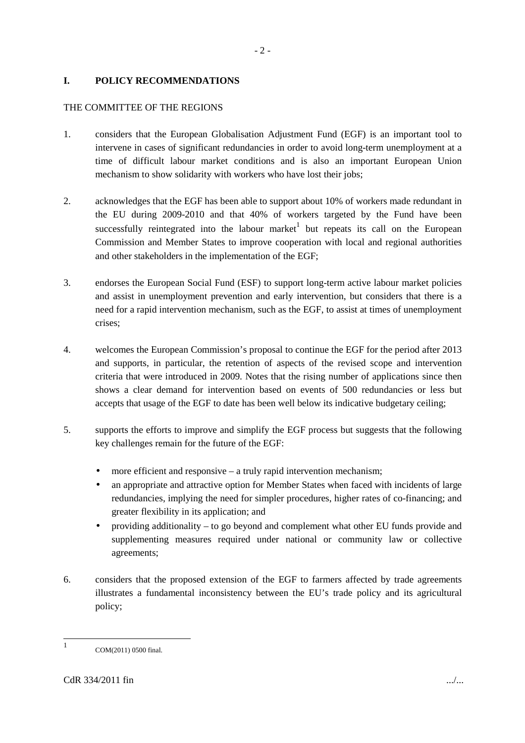## **I. POLICY RECOMMENDATIONS**

## THE COMMITTEE OF THE REGIONS

1. considers that the European Globalisation Adjustment Fund (EGF) is an important tool to intervene in cases of significant redundancies in order to avoid long-term unemployment at a time of difficult labour market conditions and is also an important European Union mechanism to show solidarity with workers who have lost their jobs;

 $-2-$ 

- 2. acknowledges that the EGF has been able to support about 10% of workers made redundant in the EU during 2009-2010 and that 40% of workers targeted by the Fund have been successfully reintegrated into the labour market but repeats its call on the European Commission and Member States to improve cooperation with local and regional authorities and other stakeholders in the implementation of the EGF;
- 3. endorses the European Social Fund (ESF) to support long-term active labour market policies and assist in unemployment prevention and early intervention, but considers that there is a need for a rapid intervention mechanism, such as the EGF, to assist at times of unemployment crises;
- 4. welcomes the European Commission's proposal to continue the EGF for the period after 2013 and supports, in particular, the retention of aspects of the revised scope and intervention criteria that were introduced in 2009. Notes that the rising number of applications since then shows a clear demand for intervention based on events of 500 redundancies or less but accepts that usage of the EGF to date has been well below its indicative budgetary ceiling;
- 5. supports the efforts to improve and simplify the EGF process but suggests that the following key challenges remain for the future of the EGF:
	- more efficient and responsive  $-$  a truly rapid intervention mechanism;
	- an appropriate and attractive option for Member States when faced with incidents of large redundancies, implying the need for simpler procedures, higher rates of co-financing; and greater flexibility in its application; and
	- providing additionality to go beyond and complement what other EU funds provide and supplementing measures required under national or community law or collective agreements;
- 6. considers that the proposed extension of the EGF to farmers affected by trade agreements illustrates a fundamental inconsistency between the EU's trade policy and its agricultural policy;

<sup>1</sup> COM(2011) 0500 final.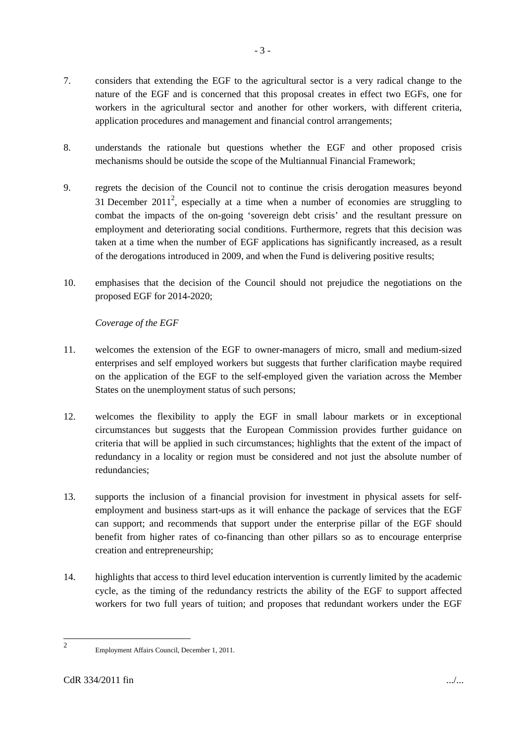- 7. considers that extending the EGF to the agricultural sector is a very radical change to the nature of the EGF and is concerned that this proposal creates in effect two EGFs, one for workers in the agricultural sector and another for other workers, with different criteria, application procedures and management and financial control arrangements;
- 8. understands the rationale but questions whether the EGF and other proposed crisis mechanisms should be outside the scope of the Multiannual Financial Framework;
- 9. regrets the decision of the Council not to continue the crisis derogation measures beyond 31 December 2011<sup>2</sup>, especially at a time when a number of economies are struggling to combat the impacts of the on-going 'sovereign debt crisis' and the resultant pressure on employment and deteriorating social conditions. Furthermore, regrets that this decision was taken at a time when the number of EGF applications has significantly increased, as a result of the derogations introduced in 2009, and when the Fund is delivering positive results;
- 10. emphasises that the decision of the Council should not prejudice the negotiations on the proposed EGF for 2014-2020;

## *Coverage of the EGF*

- 11. welcomes the extension of the EGF to owner-managers of micro, small and medium-sized enterprises and self employed workers but suggests that further clarification maybe required on the application of the EGF to the self-employed given the variation across the Member States on the unemployment status of such persons;
- 12. welcomes the flexibility to apply the EGF in small labour markets or in exceptional circumstances but suggests that the European Commission provides further guidance on criteria that will be applied in such circumstances; highlights that the extent of the impact of redundancy in a locality or region must be considered and not just the absolute number of redundancies;
- 13. supports the inclusion of a financial provision for investment in physical assets for selfemployment and business start-ups as it will enhance the package of services that the EGF can support; and recommends that support under the enterprise pillar of the EGF should benefit from higher rates of co-financing than other pillars so as to encourage enterprise creation and entrepreneurship;
- 14. highlights that access to third level education intervention is currently limited by the academic cycle, as the timing of the redundancy restricts the ability of the EGF to support affected workers for two full years of tuition; and proposes that redundant workers under the EGF

<sup>2</sup>

Employment Affairs Council, December 1, 2011.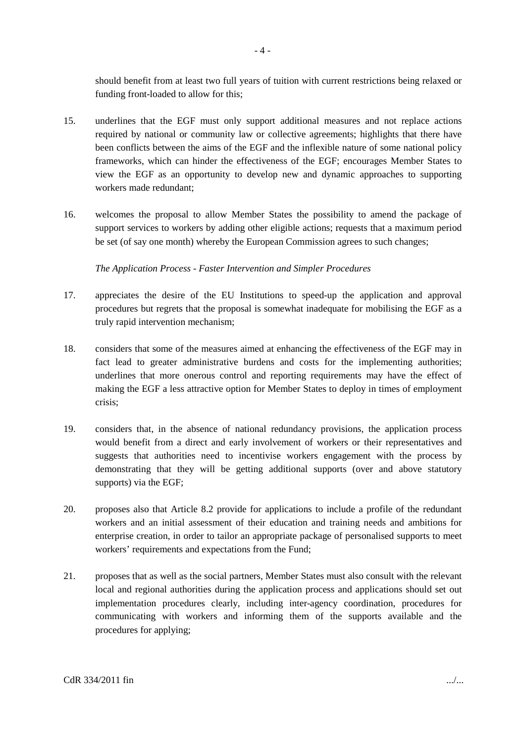should benefit from at least two full years of tuition with current restrictions being relaxed or funding front-loaded to allow for this;

- 15. underlines that the EGF must only support additional measures and not replace actions required by national or community law or collective agreements; highlights that there have been conflicts between the aims of the EGF and the inflexible nature of some national policy frameworks, which can hinder the effectiveness of the EGF; encourages Member States to view the EGF as an opportunity to develop new and dynamic approaches to supporting workers made redundant;
- 16. welcomes the proposal to allow Member States the possibility to amend the package of support services to workers by adding other eligible actions; requests that a maximum period be set (of say one month) whereby the European Commission agrees to such changes;

*The Application Process - Faster Intervention and Simpler Procedures*

- 17. appreciates the desire of the EU Institutions to speed-up the application and approval procedures but regrets that the proposal is somewhat inadequate for mobilising the EGF as a truly rapid intervention mechanism;
- 18. considers that some of the measures aimed at enhancing the effectiveness of the EGF may in fact lead to greater administrative burdens and costs for the implementing authorities; underlines that more onerous control and reporting requirements may have the effect of making the EGF a less attractive option for Member States to deploy in times of employment crisis;
- 19. considers that, in the absence of national redundancy provisions, the application process would benefit from a direct and early involvement of workers or their representatives and suggests that authorities need to incentivise workers engagement with the process by demonstrating that they will be getting additional supports (over and above statutory supports) via the EGF;
- 20. proposes also that Article 8.2 provide for applications to include a profile of the redundant workers and an initial assessment of their education and training needs and ambitions for enterprise creation, in order to tailor an appropriate package of personalised supports to meet workers' requirements and expectations from the Fund;
- 21. proposes that as well as the social partners, Member States must also consult with the relevant local and regional authorities during the application process and applications should set out implementation procedures clearly, including inter-agency coordination, procedures for communicating with workers and informing them of the supports available and the procedures for applying;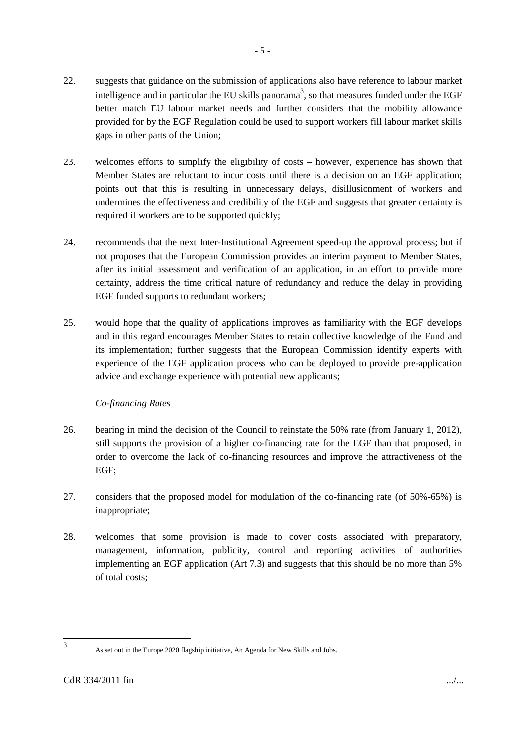- 22. suggests that guidance on the submission of applications also have reference to labour market intelligence and in particular the EU skills panorama<sup>3</sup>, so that measures funded under the EGF better match EU labour market needs and further considers that the mobility allowance provided for by the EGF Regulation could be used to support workers fill labour market skills gaps in other parts of the Union;
- 23. welcomes efforts to simplify the eligibility of costs however, experience has shown that Member States are reluctant to incur costs until there is a decision on an EGF application; points out that this is resulting in unnecessary delays, disillusionment of workers and undermines the effectiveness and credibility of the EGF and suggests that greater certainty is required if workers are to be supported quickly;
- 24. recommends that the next Inter-Institutional Agreement speed-up the approval process; but if not proposes that the European Commission provides an interim payment to Member States, after its initial assessment and verification of an application, in an effort to provide more certainty, address the time critical nature of redundancy and reduce the delay in providing EGF funded supports to redundant workers;
- 25. would hope that the quality of applications improves as familiarity with the EGF develops and in this regard encourages Member States to retain collective knowledge of the Fund and its implementation; further suggests that the European Commission identify experts with experience of the EGF application process who can be deployed to provide pre-application advice and exchange experience with potential new applicants;

## *Co-financing Rates*

- 26. bearing in mind the decision of the Council to reinstate the 50% rate (from January 1, 2012), still supports the provision of a higher co-financing rate for the EGF than that proposed, in order to overcome the lack of co-financing resources and improve the attractiveness of the EGF;
- 27. considers that the proposed model for modulation of the co-financing rate (of 50%-65%) is inappropriate;
- 28. welcomes that some provision is made to cover costs associated with preparatory, management, information, publicity, control and reporting activities of authorities implementing an EGF application (Art 7.3) and suggests that this should be no more than 5% of total costs;

<sup>3</sup>

As set out in the Europe 2020 flagship initiative, An Agenda for New Skills and Jobs.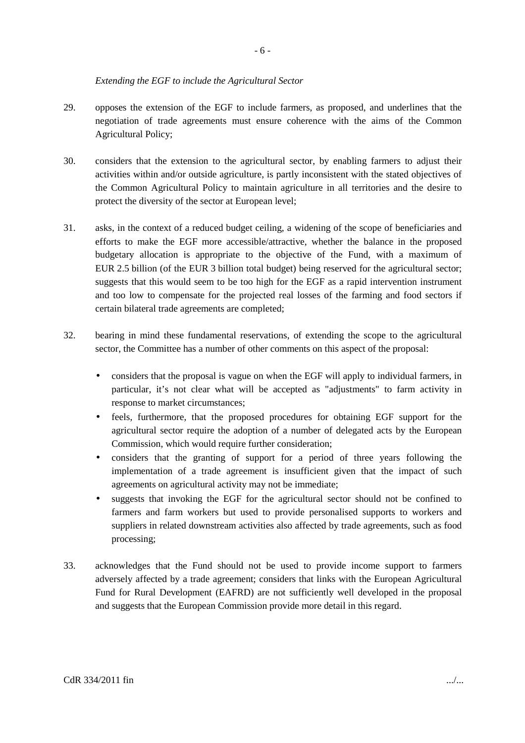#### *Extending the EGF to include the Agricultural Sector*

- 29. opposes the extension of the EGF to include farmers, as proposed, and underlines that the negotiation of trade agreements must ensure coherence with the aims of the Common Agricultural Policy;
- 30. considers that the extension to the agricultural sector, by enabling farmers to adjust their activities within and/or outside agriculture, is partly inconsistent with the stated objectives of the Common Agricultural Policy to maintain agriculture in all territories and the desire to protect the diversity of the sector at European level;
- 31. asks, in the context of a reduced budget ceiling, a widening of the scope of beneficiaries and efforts to make the EGF more accessible/attractive, whether the balance in the proposed budgetary allocation is appropriate to the objective of the Fund, with a maximum of EUR 2.5 billion (of the EUR 3 billion total budget) being reserved for the agricultural sector; suggests that this would seem to be too high for the EGF as a rapid intervention instrument and too low to compensate for the projected real losses of the farming and food sectors if certain bilateral trade agreements are completed;
- 32. bearing in mind these fundamental reservations, of extending the scope to the agricultural sector, the Committee has a number of other comments on this aspect of the proposal:
	- considers that the proposal is vague on when the EGF will apply to individual farmers, in particular, it's not clear what will be accepted as "adjustments" to farm activity in response to market circumstances;
	- feels, furthermore, that the proposed procedures for obtaining EGF support for the agricultural sector require the adoption of a number of delegated acts by the European Commission, which would require further consideration;
	- considers that the granting of support for a period of three years following the implementation of a trade agreement is insufficient given that the impact of such agreements on agricultural activity may not be immediate;
	- suggests that invoking the EGF for the agricultural sector should not be confined to farmers and farm workers but used to provide personalised supports to workers and suppliers in related downstream activities also affected by trade agreements, such as food processing;
- 33. acknowledges that the Fund should not be used to provide income support to farmers adversely affected by a trade agreement; considers that links with the European Agricultural Fund for Rural Development (EAFRD) are not sufficiently well developed in the proposal and suggests that the European Commission provide more detail in this regard.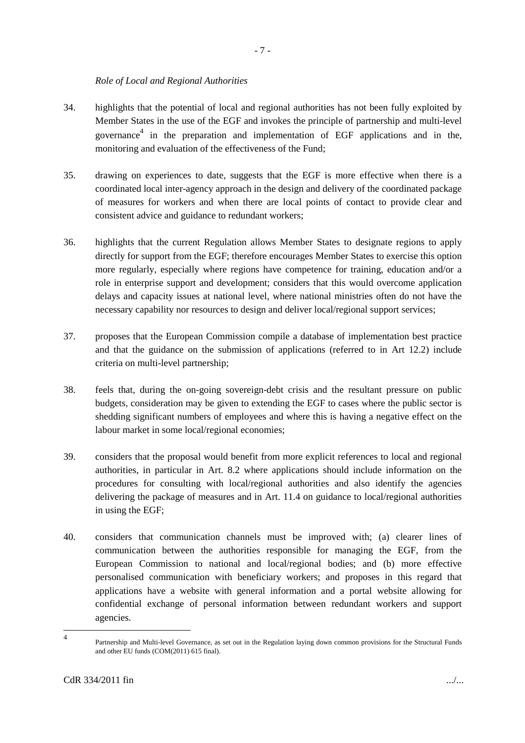#### *Role of Local and Regional Authorities*

- 34. highlights that the potential of local and regional authorities has not been fully exploited by Member States in the use of the EGF and invokes the principle of partnership and multi-level governance 4 in the preparation and implementation of EGF applications and in the, monitoring and evaluation of the effectiveness of the Fund;
- 35. drawing on experiences to date, suggests that the EGF is more effective when there is a coordinated local inter-agency approach in the design and delivery of the coordinated package of measures for workers and when there are local points of contact to provide clear and consistent advice and guidance to redundant workers;
- 36. highlights that the current Regulation allows Member States to designate regions to apply directly for support from the EGF; therefore encourages Member States to exercise this option more regularly, especially where regions have competence for training, education and/or a role in enterprise support and development; considers that this would overcome application delays and capacity issues at national level, where national ministries often do not have the necessary capability nor resources to design and deliver local/regional support services;
- 37. proposes that the European Commission compile a database of implementation best practice and that the guidance on the submission of applications (referred to in Art 12.2) include criteria on multi-level partnership;
- 38. feels that, during the on-going sovereign-debt crisis and the resultant pressure on public budgets, consideration may be given to extending the EGF to cases where the public sector is shedding significant numbers of employees and where this is having a negative effect on the labour market in some local/regional economies;
- 39. considers that the proposal would benefit from more explicit references to local and regional authorities, in particular in Art. 8.2 where applications should include information on the procedures for consulting with local/regional authorities and also identify the agencies delivering the package of measures and in Art. 11.4 on guidance to local/regional authorities in using the EGF;
- 40. considers that communication channels must be improved with; (a) clearer lines of communication between the authorities responsible for managing the EGF, from the European Commission to national and local/regional bodies; and (b) more effective personalised communication with beneficiary workers; and proposes in this regard that applications have a website with general information and a portal website allowing for confidential exchange of personal information between redundant workers and support agencies.

<sup>4</sup> Partnership and Multi-level Governance, as set out in the Regulation laying down common provisions for the Structural Funds and other EU funds (COM(2011) 615 final).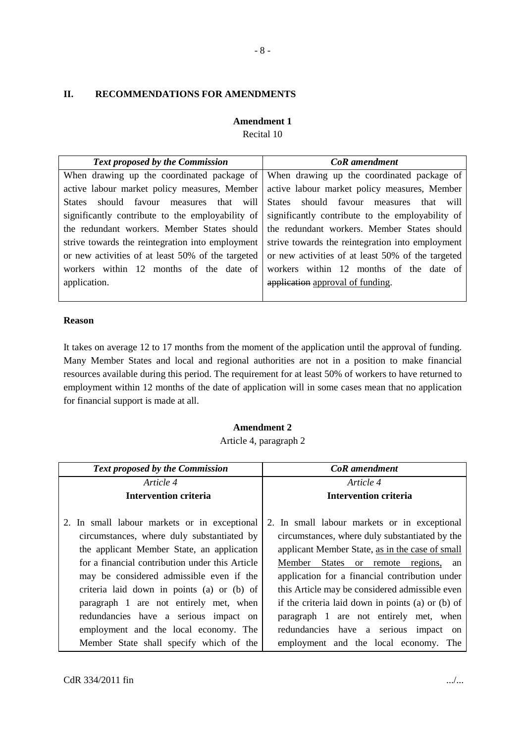## **II. RECOMMENDATIONS FOR AMENDMENTS**

# **Amendment 1**

Recital 10

| <b>Text proposed by the Commission</b>            | CoR amendment                                                                         |
|---------------------------------------------------|---------------------------------------------------------------------------------------|
|                                                   | When drawing up the coordinated package of When drawing up the coordinated package of |
| active labour market policy measures, Member      | active labour market policy measures, Member                                          |
| States should favour measures that will           | States should favour measures<br>that will                                            |
| significantly contribute to the employability of  | significantly contribute to the employability of                                      |
| the redundant workers. Member States should       | the redundant workers. Member States should                                           |
| strive towards the reintegration into employment  | strive towards the reintegration into employment                                      |
| or new activities of at least 50% of the targeted | or new activities of at least 50% of the targeted                                     |
| workers within 12 months of the date of           | workers within 12 months of the date of                                               |
| application.                                      | application approval of funding.                                                      |
|                                                   |                                                                                       |

#### **Reason**

It takes on average 12 to 17 months from the moment of the application until the approval of funding. Many Member States and local and regional authorities are not in a position to make financial resources available during this period. The requirement for at least 50% of workers to have returned to employment within 12 months of the date of application will in some cases mean that no application for financial support is made at all.

## **Amendment 2** Article 4, paragraph 2

| Article 4                                                                                                                                                                                                                                                                                                                                                                                                                                                    | Article 4                                                                                                                                                                                                                                                                                                                                                                                                                                                                                        |
|--------------------------------------------------------------------------------------------------------------------------------------------------------------------------------------------------------------------------------------------------------------------------------------------------------------------------------------------------------------------------------------------------------------------------------------------------------------|--------------------------------------------------------------------------------------------------------------------------------------------------------------------------------------------------------------------------------------------------------------------------------------------------------------------------------------------------------------------------------------------------------------------------------------------------------------------------------------------------|
| Intervention criteria                                                                                                                                                                                                                                                                                                                                                                                                                                        | Intervention criteria                                                                                                                                                                                                                                                                                                                                                                                                                                                                            |
| 2. In small labour markets or in exceptional<br>circumstances, where duly substantiated by<br>the applicant Member State, an application<br>for a financial contribution under this Article<br>may be considered admissible even if the<br>criteria laid down in points (a) or (b) of<br>paragraph 1 are not entirely met, when<br>redundancies have a serious impact on<br>employment and the local economy. The<br>Member State shall specify which of the | 2. In small labour markets or in exceptional<br>circumstances, where duly substantiated by the<br>applicant Member State, as in the case of small<br>Member<br><b>States</b><br>or remote regions,<br>an<br>application for a financial contribution under<br>this Article may be considered admissible even<br>if the criteria laid down in points (a) or (b) of<br>paragraph 1 are not entirely met, when<br>redundancies have a serious<br>impact on<br>employment and the local economy. The |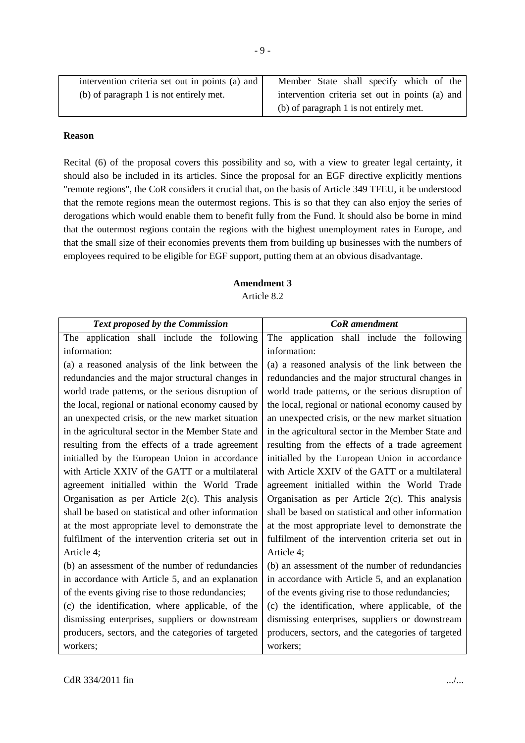| intervention criteria set out in points (a) and $\vert$ | Member State shall specify which of the         |
|---------------------------------------------------------|-------------------------------------------------|
| (b) of paragraph 1 is not entirely met.                 | intervention criteria set out in points (a) and |
|                                                         | (b) of paragraph 1 is not entirely met.         |

#### **Reason**

Recital (6) of the proposal covers this possibility and so, with a view to greater legal certainty, it should also be included in its articles. Since the proposal for an EGF directive explicitly mentions "remote regions", the CoR considers it crucial that, on the basis of Article 349 TFEU, it be understood that the remote regions mean the outermost regions. This is so that they can also enjoy the series of derogations which would enable them to benefit fully from the Fund. It should also be borne in mind that the outermost regions contain the regions with the highest unemployment rates in Europe, and that the small size of their economies prevents them from building up businesses with the numbers of employees required to be eligible for EGF support, putting them at an obvious disadvantage.

# **Amendment 3**

Article 8.2

| Text proposed by the Commission                                                                        | <b>CoR</b> amendment                                |  |
|--------------------------------------------------------------------------------------------------------|-----------------------------------------------------|--|
| application shall include the following<br>The                                                         | The application shall include the following         |  |
| information:                                                                                           | information:                                        |  |
| (a) a reasoned analysis of the link between the                                                        | (a) a reasoned analysis of the link between the     |  |
| redundancies and the major structural changes in                                                       | redundancies and the major structural changes in    |  |
| world trade patterns, or the serious disruption of                                                     | world trade patterns, or the serious disruption of  |  |
| the local, regional or national economy caused by                                                      | the local, regional or national economy caused by   |  |
| an unexpected crisis, or the new market situation<br>an unexpected crisis, or the new market situation |                                                     |  |
| in the agricultural sector in the Member State and                                                     | in the agricultural sector in the Member State and  |  |
| resulting from the effects of a trade agreement                                                        | resulting from the effects of a trade agreement     |  |
| initialled by the European Union in accordance                                                         | initialled by the European Union in accordance      |  |
| with Article XXIV of the GATT or a multilateral                                                        | with Article XXIV of the GATT or a multilateral     |  |
| agreement initialled within the World Trade                                                            | agreement initialled within the World Trade         |  |
| Organisation as per Article $2(c)$ . This analysis                                                     | Organisation as per Article $2(c)$ . This analysis  |  |
| shall be based on statistical and other information                                                    | shall be based on statistical and other information |  |
| at the most appropriate level to demonstrate the                                                       | at the most appropriate level to demonstrate the    |  |
| fulfilment of the intervention criteria set out in                                                     | fulfilment of the intervention criteria set out in  |  |
| Article 4;                                                                                             | Article 4;                                          |  |
| (b) an assessment of the number of redundancies                                                        | (b) an assessment of the number of redundancies     |  |
| in accordance with Article 5, and an explanation                                                       | in accordance with Article 5, and an explanation    |  |
| of the events giving rise to those redundancies;                                                       | of the events giving rise to those redundancies;    |  |
| (c) the identification, where applicable, of the                                                       | (c) the identification, where applicable, of the    |  |
| dismissing enterprises, suppliers or downstream                                                        | dismissing enterprises, suppliers or downstream     |  |
| producers, sectors, and the categories of targeted                                                     | producers, sectors, and the categories of targeted  |  |
| workers;                                                                                               | workers;                                            |  |
|                                                                                                        |                                                     |  |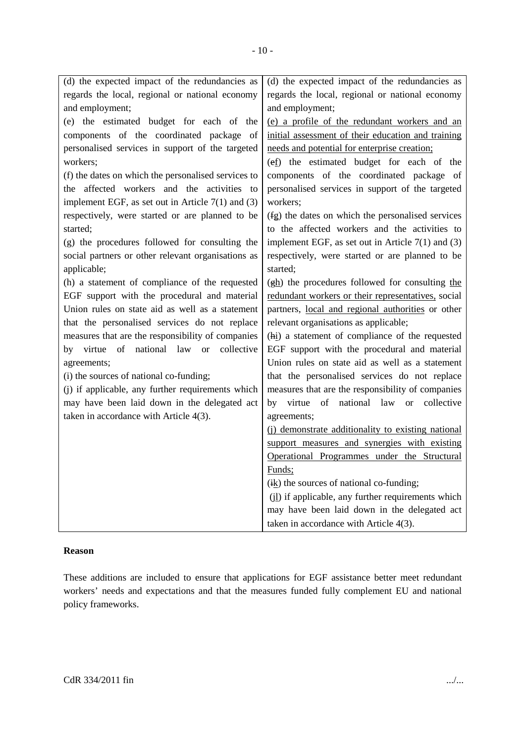| (d) the expected impact of the redundancies as        | (d) the expected impact of the redundancies as        |  |
|-------------------------------------------------------|-------------------------------------------------------|--|
| regards the local, regional or national economy       | regards the local, regional or national economy       |  |
| and employment;                                       | and employment;                                       |  |
| (e) the estimated budget for each of the              | (e) a profile of the redundant workers and an         |  |
| components of the coordinated package of              | initial assessment of their education and training    |  |
| personalised services in support of the targeted      | needs and potential for enterprise creation;          |  |
| workers;                                              | (ef) the estimated budget for each of the             |  |
| (f) the dates on which the personalised services to   | components of the coordinated package of              |  |
| the affected workers and the activities to            | personalised services in support of the targeted      |  |
| implement EGF, as set out in Article $7(1)$ and $(3)$ | workers;                                              |  |
| respectively, were started or are planned to be       | (fg) the dates on which the personalised services     |  |
| started;                                              | to the affected workers and the activities to         |  |
| (g) the procedures followed for consulting the        | implement EGF, as set out in Article $7(1)$ and $(3)$ |  |
| social partners or other relevant organisations as    | respectively, were started or are planned to be       |  |
| applicable;                                           | started;                                              |  |
| (h) a statement of compliance of the requested        | (gh) the procedures followed for consulting the       |  |
| EGF support with the procedural and material          | redundant workers or their representatives, social    |  |
| Union rules on state aid as well as a statement       | partners, local and regional authorities or other     |  |
| that the personalised services do not replace         | relevant organisations as applicable;                 |  |
| measures that are the responsibility of companies     | (hi) a statement of compliance of the requested       |  |
| of national law or<br>collective<br>by virtue         | EGF support with the procedural and material          |  |
| agreements;                                           | Union rules on state aid as well as a statement       |  |
| (i) the sources of national co-funding;               | that the personalised services do not replace         |  |
| (j) if applicable, any further requirements which     | measures that are the responsibility of companies     |  |
| may have been laid down in the delegated act          | by virtue of<br>national law or collective            |  |
| taken in accordance with Article 4(3).                | agreements;                                           |  |
|                                                       | (j) demonstrate additionality to existing national    |  |
|                                                       | support measures and synergies with existing          |  |
|                                                       | Operational Programmes under the Structural           |  |
|                                                       | Funds;                                                |  |
|                                                       | $(ik)$ the sources of national co-funding;            |  |
|                                                       | (il) if applicable, any further requirements which    |  |
|                                                       | may have been laid down in the delegated act          |  |
|                                                       | taken in accordance with Article 4(3).                |  |

#### **Reason**

These additions are included to ensure that applications for EGF assistance better meet redundant workers' needs and expectations and that the measures funded fully complement EU and national policy frameworks.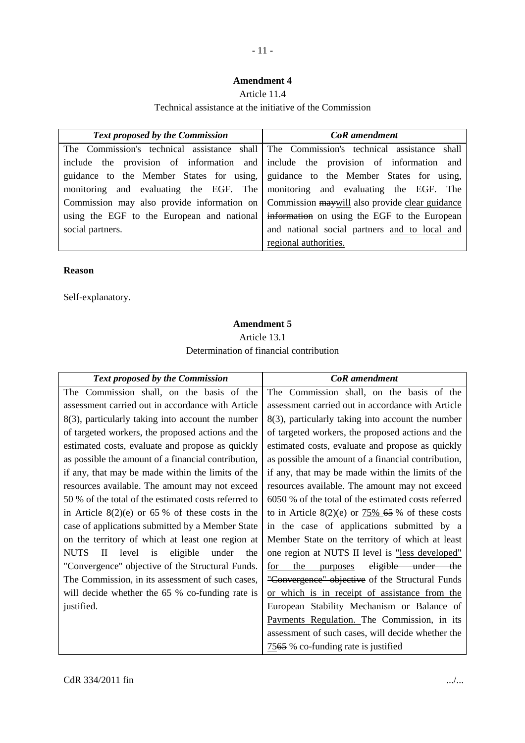# - 11 -

## **Amendment 4**

## Article 11.4

Technical assistance at the initiative of the Commission

| <b>Text proposed by the Commission</b>                                                     | <b>CoR</b> amendment                                                                    |
|--------------------------------------------------------------------------------------------|-----------------------------------------------------------------------------------------|
|                                                                                            | The Commission's technical assistance shall The Commission's technical assistance shall |
| include the provision of information and include the provision of information and          |                                                                                         |
| guidance to the Member States for using, guidance to the Member States for using,          |                                                                                         |
| monitoring and evaluating the EGF. The monitoring and evaluating the EGF. The              |                                                                                         |
| Commission may also provide information on Commission may will also provide clear guidance |                                                                                         |
|                                                                                            | using the EGF to the European and national information on using the EGF to the European |
| social partners.                                                                           | and national social partners and to local and                                           |
|                                                                                            | regional authorities.                                                                   |

## **Reason**

Self-explanatory.

# **Amendment 5** Article 13.1 Determination of financial contribution

| <b>Text proposed by the Commission</b>                              | <b>CoR</b> amendment                                             |
|---------------------------------------------------------------------|------------------------------------------------------------------|
| The Commission shall, on the basis of the                           | The Commission shall, on the basis of the                        |
| assessment carried out in accordance with Article                   | assessment carried out in accordance with Article                |
| 8(3), particularly taking into account the number                   | 8(3), particularly taking into account the number                |
| of targeted workers, the proposed actions and the                   | of targeted workers, the proposed actions and the                |
| estimated costs, evaluate and propose as quickly                    | estimated costs, evaluate and propose as quickly                 |
| as possible the amount of a financial contribution,                 | as possible the amount of a financial contribution,              |
| if any, that may be made within the limits of the                   | if any, that may be made within the limits of the                |
| resources available. The amount may not exceed                      | resources available. The amount may not exceed                   |
| 50 % of the total of the estimated costs referred to                | $60\overline{50}$ % of the total of the estimated costs referred |
| in Article $8(2)(e)$ or 65 % of these costs in the                  | to in Article 8(2)(e) or $75\%$ 65 % of these costs              |
| case of applications submitted by a Member State                    | in the case of applications submitted by a                       |
| on the territory of which at least one region at                    | Member State on the territory of which at least                  |
| eligible<br><b>NUTS</b><br>$\mathbf{I}$<br>level is<br>under<br>the | one region at NUTS II level is "less developed"                  |
| "Convergence" objective of the Structural Funds.                    | eligible under the<br>the<br>for<br>purposes                     |
| The Commission, in its assessment of such cases,                    | "Convergence" objective of the Structural Funds                  |
| will decide whether the 65 % co-funding rate is                     | or which is in receipt of assistance from the                    |
| justified.                                                          | European Stability Mechanism or Balance of                       |
|                                                                     | Payments Regulation. The Commission, in its                      |
|                                                                     | assessment of such cases, will decide whether the                |
|                                                                     | 7565 % co-funding rate is justified                              |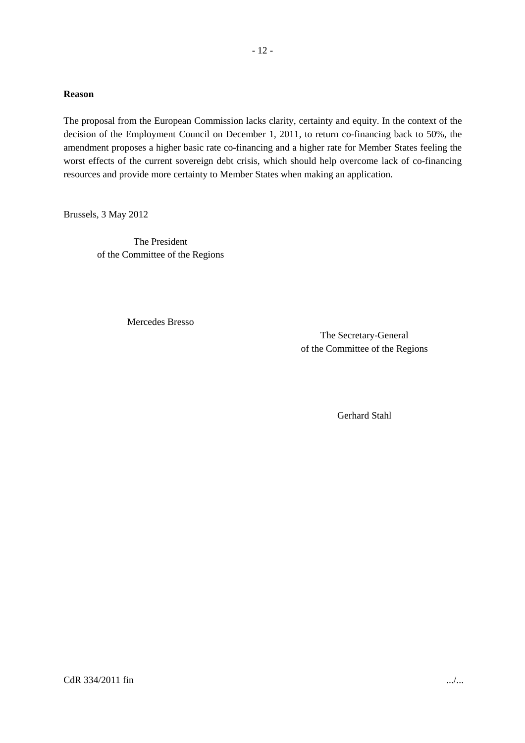#### **Reason**

The proposal from the European Commission lacks clarity, certainty and equity. In the context of the decision of the Employment Council on December 1, 2011, to return co-financing back to 50%, the amendment proposes a higher basic rate co-financing and a higher rate for Member States feeling the worst effects of the current sovereign debt crisis, which should help overcome lack of co-financing resources and provide more certainty to Member States when making an application.

Brussels, 3 May 2012

The President of the Committee of the Regions

Mercedes Bresso

The Secretary-General of the Committee of the Regions

Gerhard Stahl